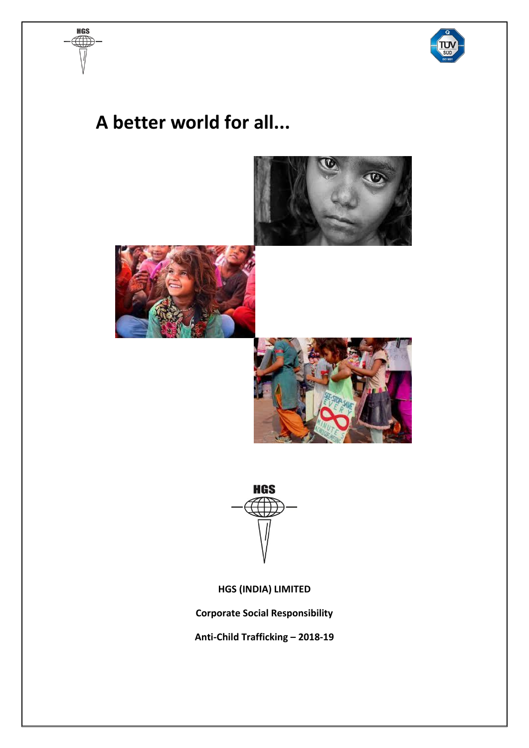

## **A better world for all...**

**HGS**  $\mathbb{T}$ 





**HGS (INDIA) LIMITED**

**Corporate Social Responsibility**

**Anti-Child Trafficking – 2018-19**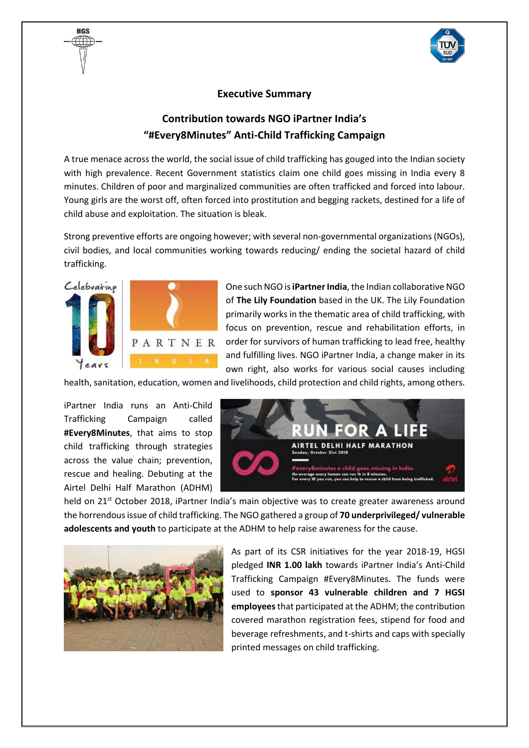

## **Executive Summary**

## **Contribution towards NGO iPartner India's "#Every8Minutes" Anti-Child Trafficking Campaign**

A true menace across the world, the social issue of child trafficking has gouged into the Indian society with high prevalence. Recent Government statistics claim one child goes missing in India every 8 minutes. Children of poor and marginalized communities are often trafficked and forced into labour. Young girls are the worst off, often forced into prostitution and begging rackets, destined for a life of child abuse and exploitation. The situation is bleak.

Strong preventive efforts are ongoing however; with several non-governmental organizations (NGOs), civil bodies, and local communities working towards reducing/ ending the societal hazard of child trafficking.



HAS

One such NGO is **iPartner India**, the Indian collaborative NGO of **The Lily Foundation** based in the UK. The Lily Foundation primarily works in the thematic area of child trafficking, with focus on prevention, rescue and rehabilitation efforts, in  $P A R T N E R$  order for survivors of human trafficking to lead free, healthy and fulfilling lives. NGO iPartner India, a change maker in its own right, also works for various social causes including

health, sanitation, education, women and livelihoods, child protection and child rights, among others.

iPartner India runs an Anti-Child Trafficking Campaign called **#Every8Minutes**, that aims to stop child trafficking through strategies across the value chain; prevention, rescue and healing. Debuting at the Airtel Delhi Half Marathon (ADHM)



held on 21<sup>st</sup> October 2018, iPartner India's main objective was to create greater awareness around the horrendous issue of child trafficking. The NGO gathered a group of **70 underprivileged/ vulnerable adolescents and youth** to participate at the ADHM to help raise awareness for the cause.



As part of its CSR initiatives for the year 2018-19, HGSI pledged **INR 1.00 lakh** towards iPartner India's Anti-Child Trafficking Campaign #Every8Minutes. The funds were used to **sponsor 43 vulnerable children and 7 HGSI employees**that participated at the ADHM; the contribution covered marathon registration fees, stipend for food and beverage refreshments, and t-shirts and caps with specially printed messages on child trafficking.